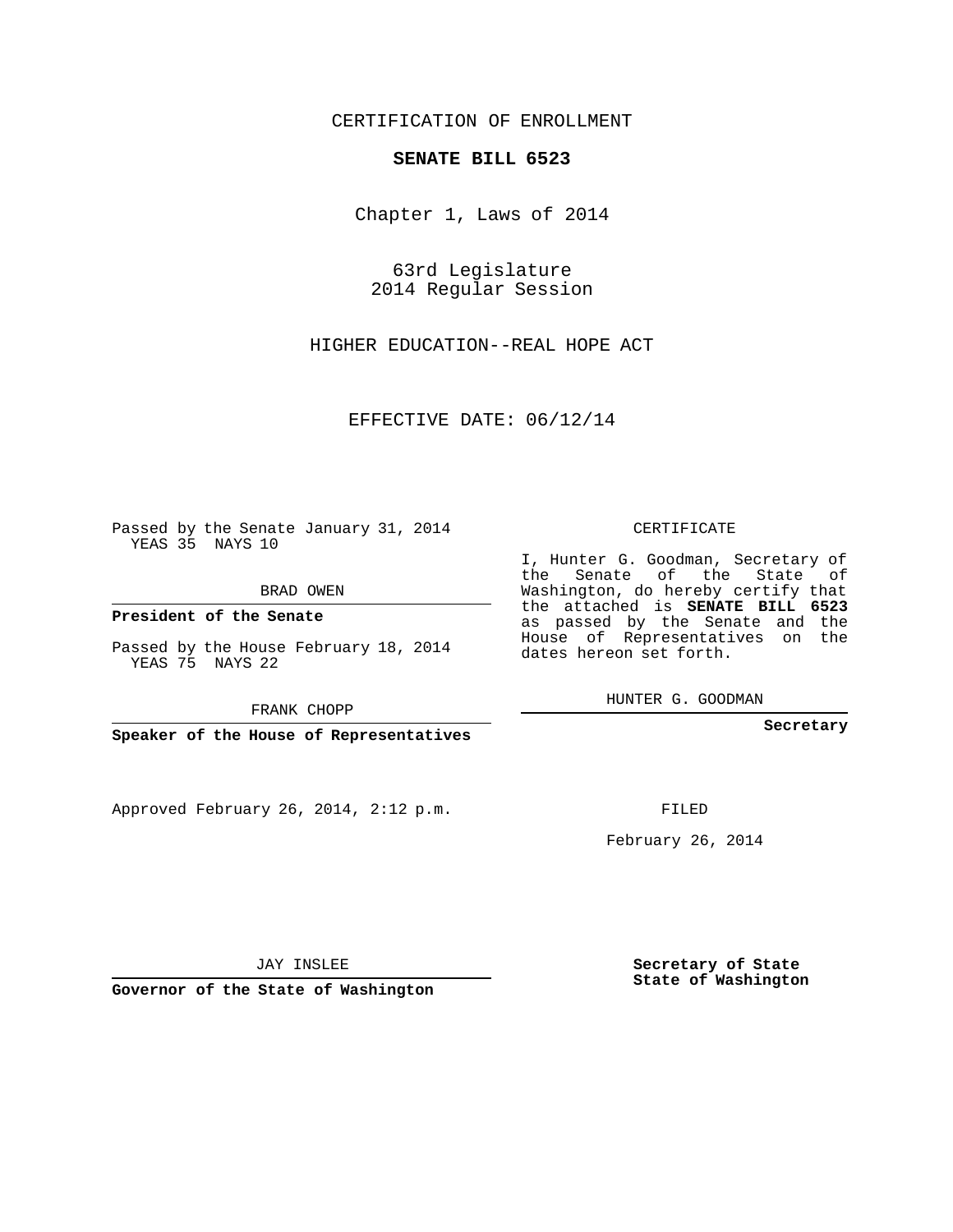## CERTIFICATION OF ENROLLMENT

## **SENATE BILL 6523**

Chapter 1, Laws of 2014

63rd Legislature 2014 Regular Session

HIGHER EDUCATION--REAL HOPE ACT

EFFECTIVE DATE: 06/12/14

Passed by the Senate January 31, 2014 YEAS 35 NAYS 10

BRAD OWEN

**President of the Senate**

Passed by the House February 18, 2014 YEAS 75 NAYS 22

FRANK CHOPP

**Speaker of the House of Representatives**

Approved February 26, 2014, 2:12 p.m.

CERTIFICATE

I, Hunter G. Goodman, Secretary of the Senate of the State of Washington, do hereby certify that the attached is **SENATE BILL 6523** as passed by the Senate and the House of Representatives on the dates hereon set forth.

HUNTER G. GOODMAN

**Secretary**

FILED

February 26, 2014

JAY INSLEE

**Governor of the State of Washington**

**Secretary of State State of Washington**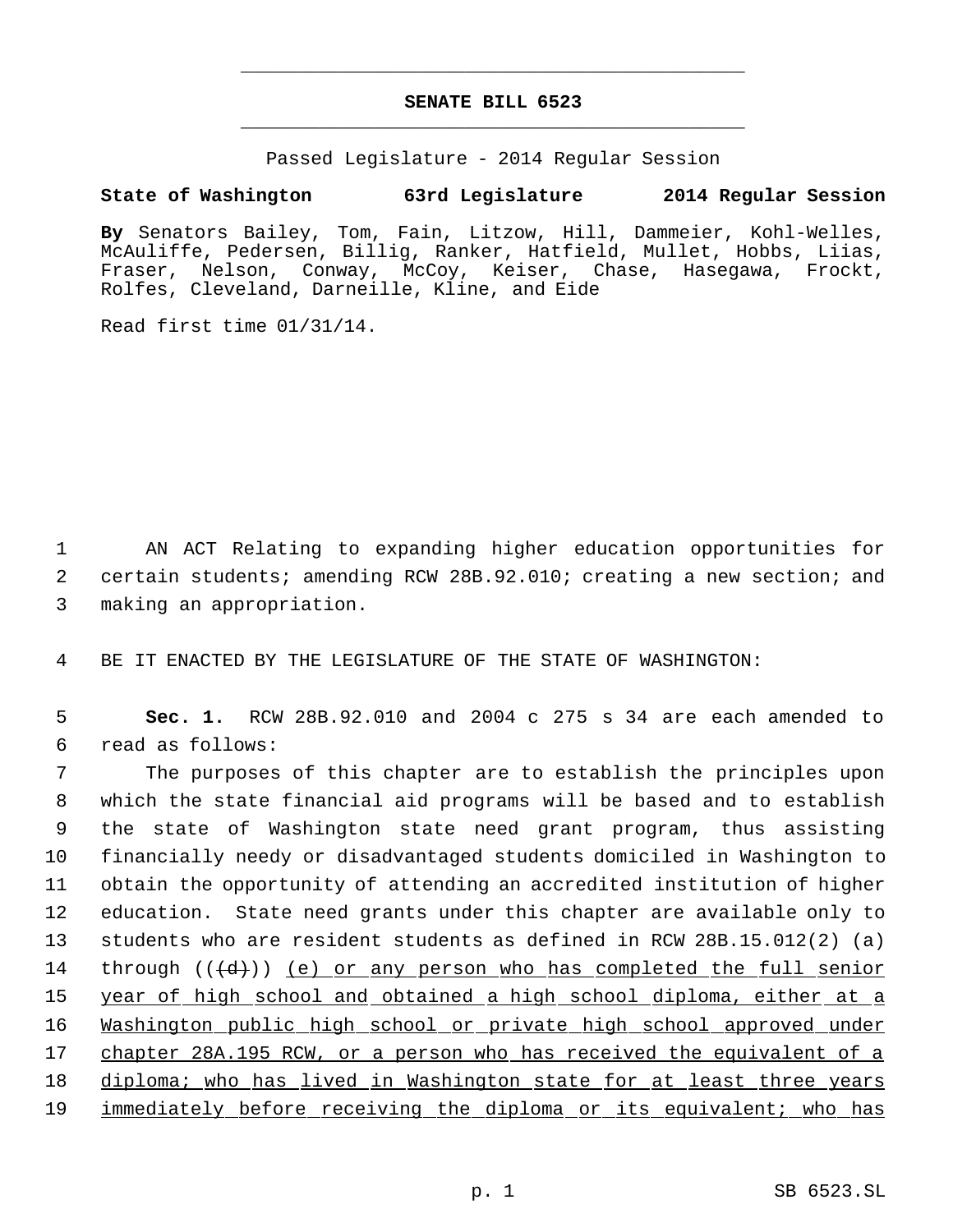## **SENATE BILL 6523** \_\_\_\_\_\_\_\_\_\_\_\_\_\_\_\_\_\_\_\_\_\_\_\_\_\_\_\_\_\_\_\_\_\_\_\_\_\_\_\_\_\_\_\_\_

\_\_\_\_\_\_\_\_\_\_\_\_\_\_\_\_\_\_\_\_\_\_\_\_\_\_\_\_\_\_\_\_\_\_\_\_\_\_\_\_\_\_\_\_\_

Passed Legislature - 2014 Regular Session

## **State of Washington 63rd Legislature 2014 Regular Session**

**By** Senators Bailey, Tom, Fain, Litzow, Hill, Dammeier, Kohl-Welles, McAuliffe, Pedersen, Billig, Ranker, Hatfield, Mullet, Hobbs, Liias, Fraser, Nelson, Conway, McCoy, Keiser, Chase, Hasegawa, Frockt, Rolfes, Cleveland, Darneille, Kline, and Eide

Read first time 01/31/14.

 1 AN ACT Relating to expanding higher education opportunities for 2 certain students; amending RCW 28B.92.010; creating a new section; and 3 making an appropriation.

4 BE IT ENACTED BY THE LEGISLATURE OF THE STATE OF WASHINGTON:

 5 **Sec. 1.** RCW 28B.92.010 and 2004 c 275 s 34 are each amended to 6 read as follows:

 The purposes of this chapter are to establish the principles upon which the state financial aid programs will be based and to establish the state of Washington state need grant program, thus assisting financially needy or disadvantaged students domiciled in Washington to obtain the opportunity of attending an accredited institution of higher education. State need grants under this chapter are available only to students who are resident students as defined in RCW 28B.15.012(2) (a) 14 through  $((\{d\})$  (e) or any person who has completed the full senior 15 year of high school and obtained a high school diploma, either at a Washington public high school or private high school approved under chapter 28A.195 RCW, or a person who has received the equivalent of a 18 diploma; who has lived in Washington state for at least three years 19 immediately before receiving the diploma or its equivalent; who has